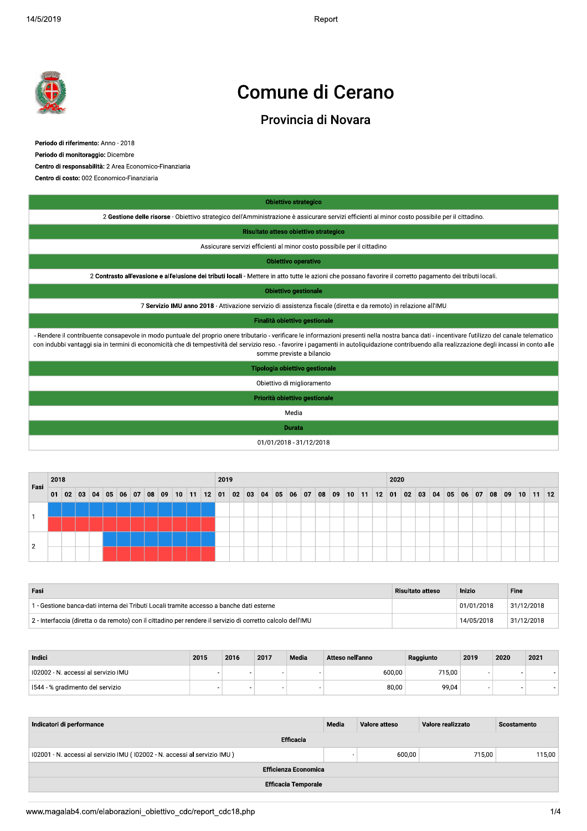$2019$  Report of the set of the set of the set of the set of the set of the set of the set of the set of the set of the set of the set of the set of the set of the set of the set of the set of the set of the set of the se Report



## **Comune di Cerano**

|                                                                                                                                                                                                                                                                                                                                                                                                      |      |    |  |  |  |  |  |  |                                     |      |  |          |  | <b>Comune di Cerano</b>                                                 |       |                   |  |            |  |      |                   |                                                                                                                                                             |                                              |  |  |              |              |  |
|------------------------------------------------------------------------------------------------------------------------------------------------------------------------------------------------------------------------------------------------------------------------------------------------------------------------------------------------------------------------------------------------------|------|----|--|--|--|--|--|--|-------------------------------------|------|--|----------|--|-------------------------------------------------------------------------|-------|-------------------|--|------------|--|------|-------------------|-------------------------------------------------------------------------------------------------------------------------------------------------------------|----------------------------------------------|--|--|--------------|--------------|--|
|                                                                                                                                                                                                                                                                                                                                                                                                      |      |    |  |  |  |  |  |  |                                     |      |  |          |  | Provincia di Novara                                                     |       |                   |  |            |  |      |                   |                                                                                                                                                             |                                              |  |  |              |              |  |
| Periodo di riferimento: Anno - 2018<br>Periodo di monitoraggio: Dicembre<br>Centro di responsabilità: 2 Area Economico-Finanziaria<br>Centro di costo: 002 Economico-Finanziaria                                                                                                                                                                                                                     |      |    |  |  |  |  |  |  |                                     |      |  |          |  |                                                                         |       |                   |  |            |  |      |                   |                                                                                                                                                             |                                              |  |  |              |              |  |
|                                                                                                                                                                                                                                                                                                                                                                                                      |      |    |  |  |  |  |  |  |                                     |      |  |          |  | <b>Obiettivo strategico</b>                                             |       |                   |  |            |  |      |                   |                                                                                                                                                             |                                              |  |  |              |              |  |
|                                                                                                                                                                                                                                                                                                                                                                                                      |      |    |  |  |  |  |  |  |                                     |      |  |          |  |                                                                         |       |                   |  |            |  |      |                   | 2 Gestione delle risorse - Obiettivo strategico dell'Amministrazione è assicurare servizi efficienti al minor costo possibile per il cittadino.             |                                              |  |  |              |              |  |
|                                                                                                                                                                                                                                                                                                                                                                                                      |      |    |  |  |  |  |  |  |                                     |      |  |          |  | Risultato atteso obiettivo strategico                                   |       |                   |  |            |  |      |                   |                                                                                                                                                             |                                              |  |  |              |              |  |
|                                                                                                                                                                                                                                                                                                                                                                                                      |      |    |  |  |  |  |  |  |                                     |      |  |          |  | Assicurare servizi efficienti al minor costo possibile per il cittadino |       |                   |  |            |  |      |                   |                                                                                                                                                             |                                              |  |  |              |              |  |
|                                                                                                                                                                                                                                                                                                                                                                                                      |      |    |  |  |  |  |  |  |                                     |      |  |          |  | Obiettivo operativo                                                     |       |                   |  |            |  |      |                   |                                                                                                                                                             |                                              |  |  |              |              |  |
|                                                                                                                                                                                                                                                                                                                                                                                                      |      |    |  |  |  |  |  |  |                                     |      |  |          |  |                                                                         |       |                   |  |            |  |      |                   | 2 Contrasto all'evasione e all'elusione dei tributi locali - Mettere in atto tutte le azioni che possano favorire il corretto pagamento dei tributi locali. |                                              |  |  |              |              |  |
|                                                                                                                                                                                                                                                                                                                                                                                                      |      |    |  |  |  |  |  |  |                                     |      |  |          |  | <b>Obiettivo gestionale</b>                                             |       |                   |  |            |  |      |                   |                                                                                                                                                             |                                              |  |  |              |              |  |
|                                                                                                                                                                                                                                                                                                                                                                                                      |      |    |  |  |  |  |  |  |                                     |      |  |          |  |                                                                         |       |                   |  |            |  |      |                   | 7 Servizio IMU anno 2018 - Attivazione servizio di assistenza fiscale (diretta e da remoto) in relazione all'IMU                                            |                                              |  |  |              |              |  |
|                                                                                                                                                                                                                                                                                                                                                                                                      |      |    |  |  |  |  |  |  |                                     |      |  |          |  | Finalità obiettivo gestionale                                           |       |                   |  |            |  |      |                   |                                                                                                                                                             |                                              |  |  |              |              |  |
| - Rendere il contribuente consapevole in modo puntuale del proprio onere tributario - verificare le informazioni presenti nella nostra banca dati - incentivare l'utilizzo del canale telematico<br>con indubbi vantaggi sia in termini di economicità che di tempestività del servizio reso. - favorire i pagamenti in autoliquidazione contribuendo alla realizzazione degli incassi in conto alle |      |    |  |  |  |  |  |  |                                     |      |  |          |  | somme previste a bilancio                                               |       |                   |  |            |  |      |                   |                                                                                                                                                             |                                              |  |  |              |              |  |
|                                                                                                                                                                                                                                                                                                                                                                                                      |      |    |  |  |  |  |  |  |                                     |      |  |          |  | Tipologia obiettivo gestionale                                          |       |                   |  |            |  |      |                   |                                                                                                                                                             |                                              |  |  |              |              |  |
|                                                                                                                                                                                                                                                                                                                                                                                                      |      |    |  |  |  |  |  |  |                                     |      |  |          |  | Obiettivo di miglioramento                                              |       |                   |  |            |  |      |                   |                                                                                                                                                             |                                              |  |  |              |              |  |
|                                                                                                                                                                                                                                                                                                                                                                                                      |      |    |  |  |  |  |  |  |                                     |      |  |          |  | Priorità obiettivo gestionale                                           |       |                   |  |            |  |      |                   |                                                                                                                                                             |                                              |  |  |              |              |  |
|                                                                                                                                                                                                                                                                                                                                                                                                      |      |    |  |  |  |  |  |  |                                     |      |  |          |  |                                                                         | Media |                   |  |            |  |      |                   |                                                                                                                                                             |                                              |  |  |              |              |  |
|                                                                                                                                                                                                                                                                                                                                                                                                      |      |    |  |  |  |  |  |  |                                     |      |  |          |  | Durata                                                                  |       |                   |  |            |  |      |                   |                                                                                                                                                             |                                              |  |  |              |              |  |
|                                                                                                                                                                                                                                                                                                                                                                                                      |      |    |  |  |  |  |  |  |                                     |      |  |          |  | 01/01/2018 - 31/12/2018                                                 |       |                   |  |            |  |      |                   |                                                                                                                                                             |                                              |  |  |              |              |  |
|                                                                                                                                                                                                                                                                                                                                                                                                      |      |    |  |  |  |  |  |  |                                     |      |  |          |  |                                                                         |       |                   |  |            |  |      |                   |                                                                                                                                                             |                                              |  |  |              |              |  |
|                                                                                                                                                                                                                                                                                                                                                                                                      | 2018 |    |  |  |  |  |  |  |                                     | 2019 |  |          |  |                                                                         |       |                   |  |            |  | 2020 |                   |                                                                                                                                                             |                                              |  |  |              |              |  |
| Fasi                                                                                                                                                                                                                                                                                                                                                                                                 |      | 02 |  |  |  |  |  |  | 03 04 05 06 07 08 09 10 11 12 01 02 |      |  | 03 04 05 |  |                                                                         |       | 06   07   08   09 |  | $10$ 11 12 |  | 01   | $02 \mid 03 \mid$ |                                                                                                                                                             | $04 \mid 05 \mid 06 \mid 07 \mid 08 \mid 09$ |  |  | $ 10\rangle$ | $11 \mid 12$ |  |

| Fasi           | 2018 |    |    |    |  |  |                |  |            | 2019 |    |    |              |    |       |    |    |    |    |    | 2020 |    |    |    |    |    |    |    |    |    |    |    |
|----------------|------|----|----|----|--|--|----------------|--|------------|------|----|----|--------------|----|-------|----|----|----|----|----|------|----|----|----|----|----|----|----|----|----|----|----|
|                | 01   | 02 | 03 | 04 |  |  | 05 06 07 08 09 |  | $10$ 11 12 | 01   | 02 | 03 | $ 04\rangle$ | 05 | 06 07 | 08 | 09 | 10 | 11 | 12 | 01   | 02 | 03 | 04 | 05 | 06 | 07 | 08 | 09 | 10 | 11 | 12 |
|                |      |    |    |    |  |  |                |  |            |      |    |    |              |    |       |    |    |    |    |    |      |    |    |    |    |    |    |    |    |    |    |    |
|                |      |    |    |    |  |  |                |  |            |      |    |    |              |    |       |    |    |    |    |    |      |    |    |    |    |    |    |    |    |    |    |    |
|                |      |    |    |    |  |  |                |  |            |      |    |    |              |    |       |    |    |    |    |    |      |    |    |    |    |    |    |    |    |    |    |    |
| $\overline{2}$ |      |    |    |    |  |  |                |  |            |      |    |    |              |    |       |    |    |    |    |    |      |    |    |    |    |    |    |    |    |    |    |    |

| Fasi                                                                                                        | Risultato atteso | Inizio     | Fine       |
|-------------------------------------------------------------------------------------------------------------|------------------|------------|------------|
| 1 - Gestione banca-dati interna dei Tributi Locali tramite accesso a banche dati esterne                    |                  | 01/01/2018 | 31/12/2018 |
| 2 - Interfaccia (diretta o da remoto) con il cittadino per rendere il servizio di corretto calcolo dell'IMU |                  | 14/05/2018 | 31/12/2018 |

| Indici                              | 2015 | 2016 | 2017 | Media | Atteso nell'anno | Raggiunto | 2019 | 2020 | 2021 |
|-------------------------------------|------|------|------|-------|------------------|-----------|------|------|------|
| 102002 - N. accessi al servizio IMU |      |      |      |       | 600,00           | 715.00    |      |      |      |
| l I544 - % gradimento del servizio  |      |      |      |       | 80,00            | 99,04     |      |      |      |

| I02002 - N. accessi al servizio IMU                                       | ۰ |                          |                            |                             |       | 600,00        | 715,00            |        | ٠                        |        |
|---------------------------------------------------------------------------|---|--------------------------|----------------------------|-----------------------------|-------|---------------|-------------------|--------|--------------------------|--------|
| 1544 - % gradimento del servizio                                          | ۰ | $\overline{\phantom{a}}$ | ٠                          |                             |       | 80,00         | 99,04             |        | $\overline{\phantom{a}}$ |        |
|                                                                           |   |                          |                            |                             |       |               |                   |        |                          |        |
| Indicatori di performance                                                 |   |                          |                            |                             | Media | Valore atteso | Valore realizzato |        | Scostamento              |        |
|                                                                           |   |                          |                            | <b>Efficacia</b>            |       |               |                   |        |                          |        |
| 102001 - N. accessi al servizio IMU (102002 - N. accessi al servizio IMU) |   |                          |                            |                             | ٠     | 600,00        |                   | 715,00 |                          | 115,00 |
|                                                                           |   |                          |                            | <b>Efficienza Economica</b> |       |               |                   |        |                          |        |
|                                                                           |   |                          | <b>Efficacia Temporale</b> |                             |       |               |                   |        |                          |        |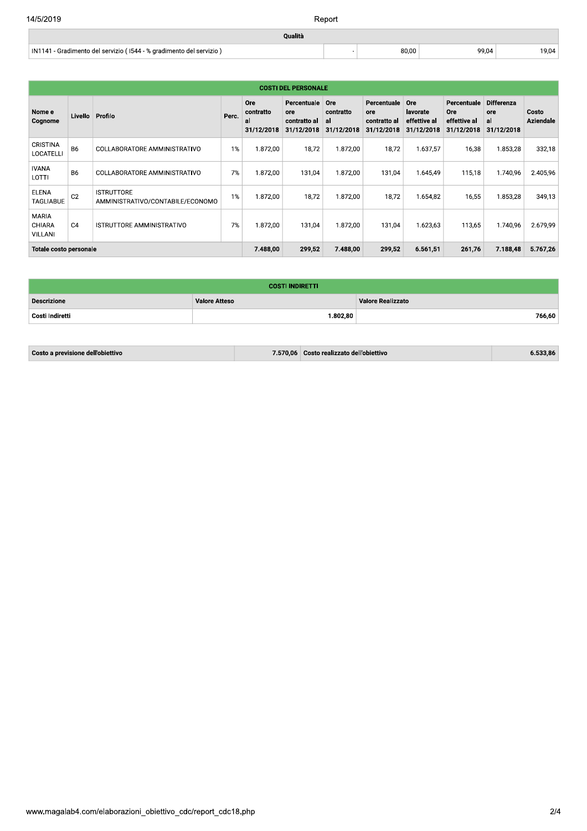$\bar{\gamma}$ 

80,00

99,04

19,04

Qualità

IN1141 - Gradimento del servizio (1544 - % gradimento del servizio)

|                                          |                |                                                       |       |                                             | <b>COSTI DEL PERSONALE</b>                       |                                      |                                                  |                                               |                                                  |                                              |                           |
|------------------------------------------|----------------|-------------------------------------------------------|-------|---------------------------------------------|--------------------------------------------------|--------------------------------------|--------------------------------------------------|-----------------------------------------------|--------------------------------------------------|----------------------------------------------|---------------------------|
| Nome e<br>Cognome                        | Livello        | Profilo                                               | Perc. | <b>Ore</b><br>contratto<br>al<br>31/12/2018 | Percentuale<br>ore<br>contratto al<br>31/12/2018 | Ore<br>contratto<br>al<br>31/12/2018 | Percentuale<br>ore<br>contratto al<br>31/12/2018 | Ore<br>lavorate<br>effettive al<br>31/12/2018 | Percentuale<br>Ore<br>effettive al<br>31/12/2018 | <b>Differenza</b><br>ore<br>al<br>31/12/2018 | Costo<br><b>Aziendale</b> |
| <b>CRISTINA</b><br><b>LOCATELLI</b>      | <b>B6</b>      | COLLABORATORE AMMINISTRATIVO                          | $1\%$ | 1.872,00                                    | 18,72                                            | 1.872,00                             | 18,72                                            | 1.637,57                                      | 16,38                                            | 1.853,28                                     | 332,18                    |
| <b>IVANA</b><br>LOTTI                    | <b>B6</b>      | COLLABORATORE AMMINISTRATIVO                          | 7%    | 1.872,00                                    | 131,04                                           | 1.872,00                             | 131,04                                           | 1.645.49                                      | 115,18                                           | 1.740,96                                     | 2.405,96                  |
| <b>ELENA</b><br>TAGLIABUE                | C <sub>2</sub> | <b>ISTRUTTORE</b><br>AMMINISTRATIVO/CONTABILE/ECONOMO | $1\%$ | 1.872,00                                    | 18,72                                            | 1.872,00                             | 18,72                                            | 1.654,82                                      | 16,55                                            | 1.853,28                                     | 349,13                    |
| <b>MARIA</b><br><b>CHIARA</b><br>VILLANI | C <sub>4</sub> | ISTRUTTORE AMMINISTRATIVO                             | 7%    | 1.872.00                                    | 131.04                                           | 1.872.00                             | 131.04                                           | 1.623.63                                      | 113.65                                           | 1.740,96                                     | 2.679,99                  |
| Totale costo personale                   |                |                                                       |       | 7.488.00                                    | 299,52                                           | 7.488,00                             | 299,52                                           | 6.561,51                                      | 261,76                                           | 7.188,48                                     | 5.767,26                  |

|                    | <b>COSTI INDIRETTI</b> |                   |
|--------------------|------------------------|-------------------|
| <b>Descrizione</b> | <b>Valore Atteso</b>   | Valore Realizzato |
| Costi Indiretti    | 1.802,80               | 766,60            |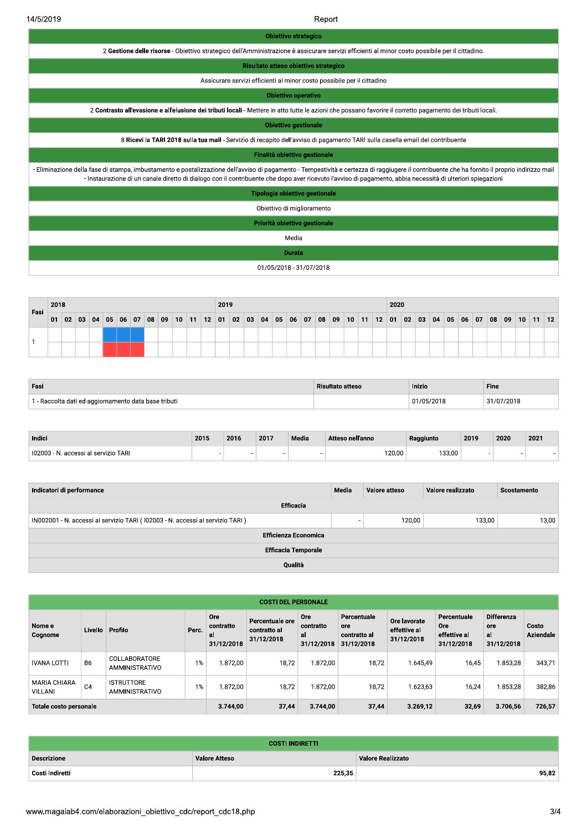14/5/2019

Report

| <b>Obiettivo strategico</b>                                                                                                                                                                                                                                                                                                                               |
|-----------------------------------------------------------------------------------------------------------------------------------------------------------------------------------------------------------------------------------------------------------------------------------------------------------------------------------------------------------|
| 2 Gestione delle risorse - Obiettivo strategico dell'Amministrazione è assicurare servizi efficienti al minor costo possibile per il cittadino.                                                                                                                                                                                                           |
| Risultato atteso obiettivo strategico                                                                                                                                                                                                                                                                                                                     |
| Assicurare servizi efficienti al minor costo possibile per il cittadino                                                                                                                                                                                                                                                                                   |
| <b>Obiettivo operativo</b>                                                                                                                                                                                                                                                                                                                                |
| 2 Contrasto all'evasione e all'elusione dei tributi locali - Mettere in atto tutte le azioni che possano favorire il corretto pagamento dei tributi locali.                                                                                                                                                                                               |
| <b>Obiettivo gestionale</b>                                                                                                                                                                                                                                                                                                                               |
| 8 Ricevi la TARI 2018 sulla tua mail - Servizio di recapito dell'avviso di pagamento TARI sulla casella email del contribuente                                                                                                                                                                                                                            |
| Finalità obiettivo gestionale                                                                                                                                                                                                                                                                                                                             |
| Eliminazione della fase di stampa, imbustamento e postalizzazione dell'avviso di pagamento - Tempestività e certezza di raggiugere il contribuente che ha fornito il proprio indirizzo mail<br>- Instaurazione di un canale diretto di dialogo con il contribuente che dopo aver ricevuto l'avviso di pagamento, abbia necessità di ulteriori spiegazioni |
| Tipologia obiettivo gestionale                                                                                                                                                                                                                                                                                                                            |
| Obiettivo di miglioramento                                                                                                                                                                                                                                                                                                                                |
| Priorità obiettivo gestionale                                                                                                                                                                                                                                                                                                                             |
| Media                                                                                                                                                                                                                                                                                                                                                     |
| Durata                                                                                                                                                                                                                                                                                                                                                    |
| 01/05/2018 - 31/07/2018                                                                                                                                                                                                                                                                                                                                   |

| Fasi | 2018 |    |    |    |    |    |    |    |    |                 |    |    | 2019 |    |    |    |    |    |    |    |    |    |    |    | 2020 |    |    |    |    |    |    |    |              |    |    |    |
|------|------|----|----|----|----|----|----|----|----|-----------------|----|----|------|----|----|----|----|----|----|----|----|----|----|----|------|----|----|----|----|----|----|----|--------------|----|----|----|
|      | 01   | 02 | 03 | 04 | 05 | 06 | 07 | 08 | 09 | 10 <sup>1</sup> | 11 | 12 | 01   | 02 | 03 | 04 | 05 | 06 | 07 | 08 | 09 | 10 | 11 | 12 | 01   | 02 | 03 | 04 | 05 | 06 | 07 | 08 | $ 09\rangle$ | 10 | 11 | 12 |
|      |      |    |    |    |    |    |    |    |    |                 |    |    |      |    |    |    |    |    |    |    |    |    |    |    |      |    |    |    |    |    |    |    |              |    |    |    |
|      |      |    |    |    |    |    |    |    |    |                 |    |    |      |    |    |    |    |    |    |    |    |    |    |    |      |    |    |    |    |    |    |    |              |    |    |    |

| Fasi                                               | <b>Risultato atteso</b> | Inizio   | Fine       |
|----------------------------------------------------|-------------------------|----------|------------|
| - Raccolta dati ed aggiornamento data base tributi |                         | /05/2018 | 31/07/2018 |

| Indici                             | 2015 | 2016 | 2017 | Media | Atteso nell'anno | Raggiunto | 2019 | 2020 | 2021 |
|------------------------------------|------|------|------|-------|------------------|-----------|------|------|------|
| 102003<br>accessi al servizio TARI |      |      |      |       | 120,00           | 133,00    |      |      |      |

| Indicatori di performance                                                     | Media | Valore atteso | Valore realizzato | Scostamento |  |  |  |  |  |
|-------------------------------------------------------------------------------|-------|---------------|-------------------|-------------|--|--|--|--|--|
| Efficacia                                                                     |       |               |                   |             |  |  |  |  |  |
| IN002001 - N. accessi al servizio TARI (102003 - N. accessi al servizio TARI) |       | 120,00        | 133,00            | 13,00       |  |  |  |  |  |
| <b>Efficienza Economica</b>                                                   |       |               |                   |             |  |  |  |  |  |
| <b>Efficacia Temporale</b>                                                    |       |               |                   |             |  |  |  |  |  |
| Qualità                                                                       |       |               |                   |             |  |  |  |  |  |

| <b>COSTI DEL PERSONALE</b>     |                |                                     |          |                                      |                                               |                                             |                                                  |                                            |                                                         |                                              |                           |
|--------------------------------|----------------|-------------------------------------|----------|--------------------------------------|-----------------------------------------------|---------------------------------------------|--------------------------------------------------|--------------------------------------------|---------------------------------------------------------|----------------------------------------------|---------------------------|
| Nome e<br>Cognome              | Livello        | Profilo                             | Perc.    | Ore<br>contratto<br>al<br>31/12/2018 | Percentuale ore<br>contratto al<br>31/12/2018 | <b>Ore</b><br>contratto<br>al<br>31/12/2018 | Percentuale<br>ore<br>contratto al<br>31/12/2018 | Ore lavorate<br>effettive al<br>31/12/2018 | Percentuale<br><b>Ore</b><br>effettive al<br>31/12/2018 | <b>Differenza</b><br>ore<br>al<br>31/12/2018 | Costo<br><b>Aziendale</b> |
| <b>IVANA LOTTI</b>             | B <sub>6</sub> | COLLABORATORE<br>AMMINISTRATIVO     | 1%       | 1.872.00                             | 18.72                                         | 1.872.00                                    | 18.72                                            | 1.645.49                                   | 16.45                                                   | 1.853,28                                     | 343,71                    |
| <b>MARIA CHIARA</b><br>VILLANI | C <sub>4</sub> | <b>ISTRUTTORE</b><br>AMMINISTRATIVO | $1\%$    | 1.872.00                             | 18,72                                         | 1.872.00                                    | 18.72                                            | 1.623.63                                   | 16,24                                                   | 1.853.28                                     | 382,86                    |
| Totale costo personale         |                |                                     | 3.744,00 | 37,44                                | 3.744.00                                      | 37,44                                       | 3.269.12                                         | 32,69                                      | 3.706.56                                                | 726.57                                       |                           |

| <b>COSTI INDIRETTI</b> |                      |                          |  |  |
|------------------------|----------------------|--------------------------|--|--|
| <b>Descrizione</b>     | <b>Valore Atteso</b> | <b>Valore Realizzato</b> |  |  |
| Costi Indiretti        | 225,35               | 95.82                    |  |  |